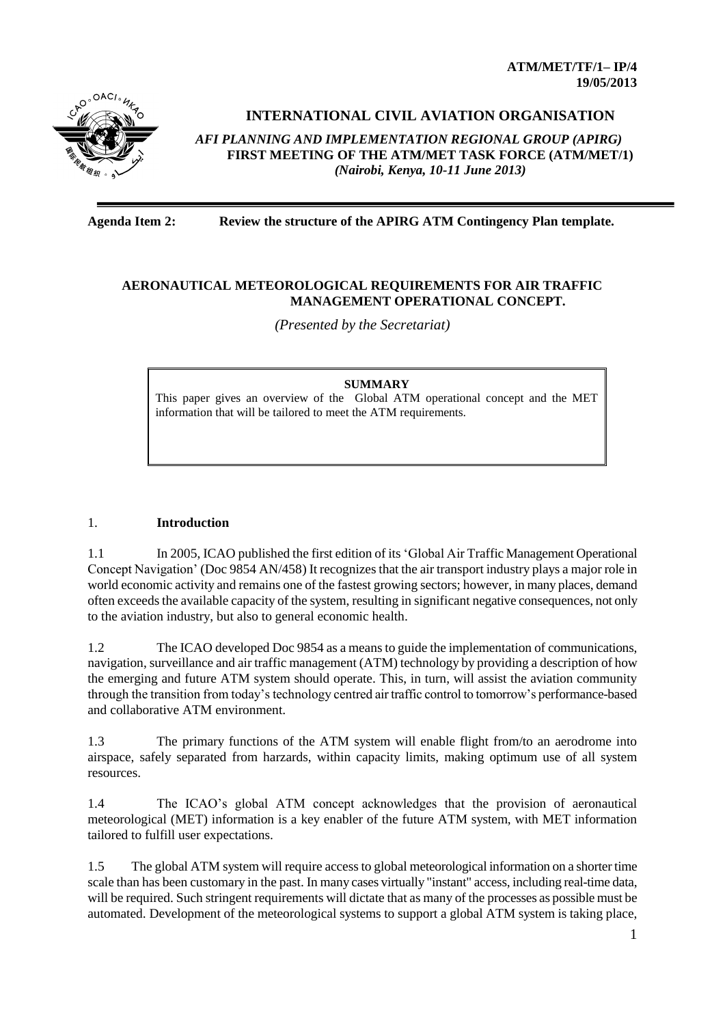**ATM/MET/TF/1– IP/4 19/05/2013**



# **INTERNATIONAL CIVIL AVIATION ORGANISATION**

*AFI PLANNING AND IMPLEMENTATION REGIONAL GROUP (APIRG)* **FIRST MEETING OF THE ATM/MET TASK FORCE (ATM/MET/1)**  *(Nairobi, Kenya, 10-11 June 2013)*

## **Agenda Item 2: Review the structure of the APIRG ATM Contingency Plan template.**

### **AERONAUTICAL METEOROLOGICAL REQUIREMENTS FOR AIR TRAFFIC MANAGEMENT OPERATIONAL CONCEPT.**

*(Presented by the Secretariat)*

#### **SUMMARY**

This paper gives an overview of the Global ATM operational concept and the MET information that will be tailored to meet the ATM requirements.

### 1. **Introduction**

1.1 In 2005, ICAO published the first edition of its 'Global Air Traffic Management Operational Concept Navigation' (Doc 9854 AN/458) It recognizes that the air transport industry plays a major role in world economic activity and remains one of the fastest growing sectors; however, in many places, demand often exceeds the available capacity of the system, resulting in significant negative consequences, not only to the aviation industry, but also to general economic health.

1.2 The ICAO developed Doc 9854 as a means to guide the implementation of communications, navigation, surveillance and air traffic management (ATM) technology by providing a description of how the emerging and future ATM system should operate. This, in turn, will assist the aviation community through the transition from today's technology centred air traffic control to tomorrow's performance-based and collaborative ATM environment.

1.3 The primary functions of the ATM system will enable flight from/to an aerodrome into airspace, safely separated from harzards, within capacity limits, making optimum use of all system resources.

1.4 The ICAO's global ATM concept acknowledges that the provision of aeronautical meteorological (MET) information is a key enabler of the future ATM system, with MET information tailored to fulfill user expectations.

1.5 The global ATM system will require access to global meteorological information on a shorter time scale than has been customary in the past. In many cases virtually "instant" access, including real-time data, will be required. Such stringent requirements will dictate that as many of the processes as possible must be automated. Development of the meteorological systems to support a global ATM system is taking place,